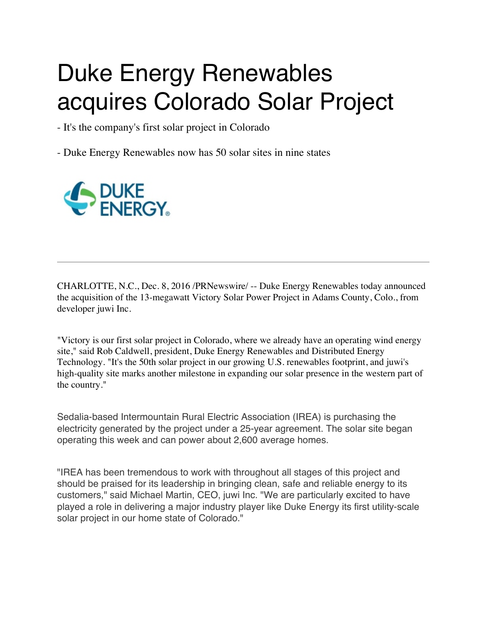## Duke Energy Renewables acquires Colorado Solar Project

- It's the company's first solar project in Colorado

- Duke Energy Renewables now has 50 solar sites in nine states



CHARLOTTE, N.C., Dec. 8, 2016 /PRNewswire/ -- Duke Energy Renewables today announced the acquisition of the 13-megawatt Victory Solar Power Project in Adams County, Colo., from developer juwi Inc.

"Victory is our first solar project in Colorado, where we already have an operating wind energy site," said Rob Caldwell, president, Duke Energy Renewables and Distributed Energy Technology. "It's the 50th solar project in our growing U.S. renewables footprint, and juwi's high-quality site marks another milestone in expanding our solar presence in the western part of the country."

Sedalia-based Intermountain Rural Electric Association (IREA) is purchasing the electricity generated by the project under a 25-year agreement. The solar site began operating this week and can power about 2,600 average homes.

"IREA has been tremendous to work with throughout all stages of this project and should be praised for its leadership in bringing clean, safe and reliable energy to its customers," said Michael Martin, CEO, juwi Inc. "We are particularly excited to have played a role in delivering a major industry player like Duke Energy its first utility-scale solar project in our home state of Colorado."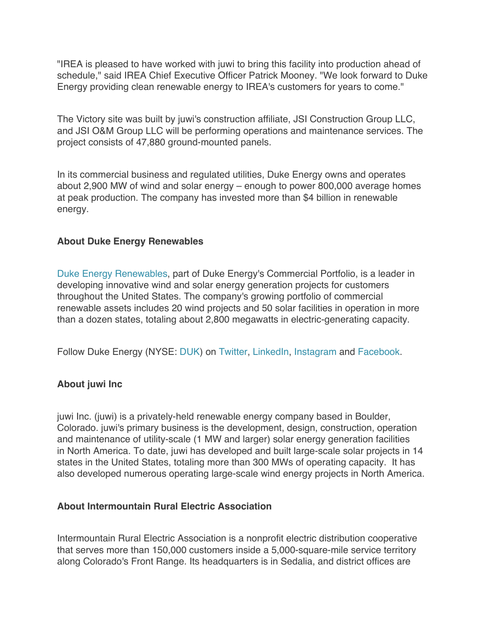"IREA is pleased to have worked with juwi to bring this facility into production ahead of schedule," said IREA Chief Executive Officer Patrick Mooney. "We look forward to Duke Energy providing clean renewable energy to IREA's customers for years to come."

The Victory site was built by juwi's construction affiliate, JSI Construction Group LLC, and JSI O&M Group LLC will be performing operations and maintenance services. The project consists of 47,880 ground-mounted panels.

In its commercial business and regulated utilities, Duke Energy owns and operates about 2,900 MW of wind and solar energy – enough to power 800,000 average homes at peak production. The company has invested more than \$4 billion in renewable energy.

## **About Duke Energy Renewables**

Duke Energy Renewables, part of Duke Energy's Commercial Portfolio, is a leader in developing innovative wind and solar energy generation projects for customers throughout the United States. The company's growing portfolio of commercial renewable assets includes 20 wind projects and 50 solar facilities in operation in more than a dozen states, totaling about 2,800 megawatts in electric-generating capacity.

Follow Duke Energy (NYSE: DUK) on Twitter, LinkedIn, Instagram and Facebook.

## **About juwi Inc**

juwi Inc. (juwi) is a privately-held renewable energy company based in Boulder, Colorado. juwi's primary business is the development, design, construction, operation and maintenance of utility-scale (1 MW and larger) solar energy generation facilities in North America. To date, juwi has developed and built large-scale solar projects in 14 states in the United States, totaling more than 300 MWs of operating capacity. It has also developed numerous operating large-scale wind energy projects in North America.

## **About Intermountain Rural Electric Association**

Intermountain Rural Electric Association is a nonprofit electric distribution cooperative that serves more than 150,000 customers inside a 5,000-square-mile service territory along Colorado's Front Range. Its headquarters is in Sedalia, and district offices are